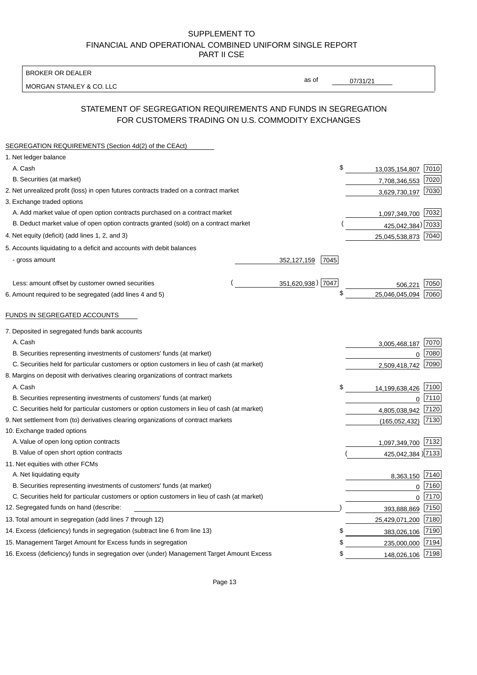BROKER OR DEALER

MORGAN STANLEY & CO. LLC

07/31/21

as of

# STATEMENT OF SEGREGATION REQUIREMENTS AND FUNDS IN SEGREGATION FOR CUSTOMERS TRADING ON U.S. COMMODITY EXCHANGES

| SEGREGATION REQUIREMENTS (Section 4d(2) of the CEAct)                                       |                       |                 |                      |
|---------------------------------------------------------------------------------------------|-----------------------|-----------------|----------------------|
| 1. Net ledger balance                                                                       |                       |                 |                      |
| A. Cash                                                                                     | \$                    | 13,035,154,807  | 7010                 |
| B. Securities (at market)                                                                   |                       | 7,708,346,553   | 7020                 |
| 2. Net unrealized profit (loss) in open futures contracts traded on a contract market       |                       | 3,629,730,197   | 7030                 |
| 3. Exchange traded options                                                                  |                       |                 |                      |
| A. Add market value of open option contracts purchased on a contract market                 |                       |                 | 1,097,349,700 7032   |
| B. Deduct market value of open option contracts granted (sold) on a contract market         |                       |                 | 425,042,384) 7033    |
| 4. Net equity (deficit) (add lines 1, 2, and 3)                                             |                       |                 | 25,045,538,873 7040  |
| 5. Accounts liquidating to a deficit and accounts with debit balances                       |                       |                 |                      |
| - gross amount                                                                              | 352, 127, 159<br>7045 |                 |                      |
|                                                                                             |                       |                 |                      |
| Less: amount offset by customer owned securities                                            | 351,620,938) 7047     |                 | 7050<br>506,221      |
| 6. Amount required to be segregated (add lines 4 and 5)                                     | \$                    | 25,046,045,094  | 7060                 |
|                                                                                             |                       |                 |                      |
| FUNDS IN SEGREGATED ACCOUNTS                                                                |                       |                 |                      |
| 7. Deposited in segregated funds bank accounts                                              |                       |                 |                      |
| A. Cash                                                                                     |                       | 3,005,468,187   | 7070                 |
| B. Securities representing investments of customers' funds (at market)                      |                       |                 | 7080<br>$\Omega$     |
| C. Securities held for particular customers or option customers in lieu of cash (at market) |                       | 2,509,418,742   | 7090                 |
| 8. Margins on deposit with derivatives clearing organizations of contract markets           |                       |                 |                      |
| A. Cash                                                                                     | \$                    | 14,199,638,426  | 7100                 |
| B. Securities representing investments of customers' funds (at market)                      |                       |                 | 7110<br>$\mathbf{0}$ |
| C. Securities held for particular customers or option customers in lieu of cash (at market) |                       | 4,805,038,942   | 7120                 |
| 9. Net settlement from (to) derivatives clearing organizations of contract markets          |                       | (165, 052, 432) | 7130                 |
| 10. Exchange traded options                                                                 |                       |                 |                      |
| A. Value of open long option contracts                                                      |                       | 1,097,349,700   | 7132                 |
| B. Value of open short option contracts                                                     |                       |                 | 425,042,384) 7133    |
| 11. Net equities with other FCMs                                                            |                       |                 |                      |
| A. Net liquidating equity                                                                   |                       |                 | 7140<br>8,363,150    |
| B. Securities representing investments of customers' funds (at market)                      |                       |                 | 7160<br>$\mathbf 0$  |
| C. Securities held for particular customers or option customers in lieu of cash (at market) |                       |                 | 7170<br>$\mathbf 0$  |
| 12. Segregated funds on hand (describe:                                                     |                       | 393,888,869     | 7150                 |
| 13. Total amount in segregation (add lines 7 through 12)                                    |                       | 25,429,071,200  | 7180                 |
| 14. Excess (deficiency) funds in segregation (subtract line 6 from line 13)                 | \$                    | 383,026,106     | 7190                 |
| 15. Management Target Amount for Excess funds in segregation                                | \$                    | 235,000,000     | 7194                 |
| 16. Excess (deficiency) funds in segregation over (under) Management Target Amount Excess   | \$                    | 148,026,106     | 7198                 |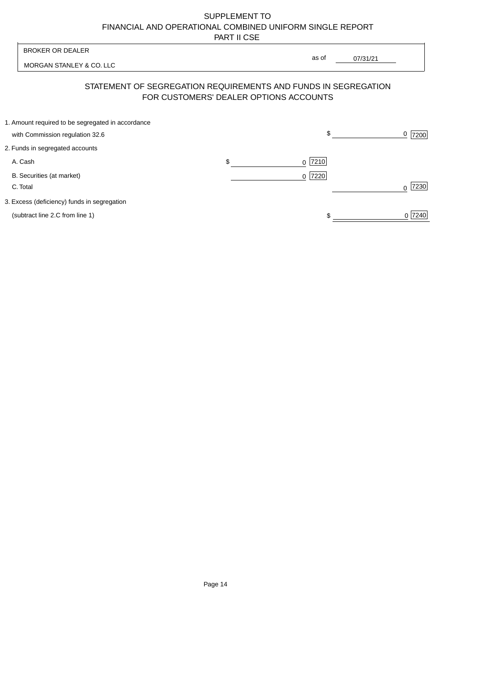| <b>BROKER OR DEALER</b>                           |                                        |                                                                |           |
|---------------------------------------------------|----------------------------------------|----------------------------------------------------------------|-----------|
| MORGAN STANLEY & CO. LLC                          |                                        | as of<br>07/31/21                                              |           |
|                                                   | FOR CUSTOMERS' DEALER OPTIONS ACCOUNTS | STATEMENT OF SEGREGATION REQUIREMENTS AND FUNDS IN SEGREGATION |           |
| 1. Amount required to be segregated in accordance |                                        |                                                                |           |
| with Commission regulation 32.6                   |                                        | \$                                                             | 0<br>7200 |
| 2. Funds in segregated accounts                   |                                        |                                                                |           |
| A. Cash                                           | \$                                     | $0$  7210                                                      |           |
| B. Securities (at market)                         |                                        | 0 7220                                                         |           |
| C. Total                                          |                                        |                                                                | 7230      |
| 3. Excess (deficiency) funds in segregation       |                                        |                                                                |           |
| (subtract line 2.C from line 1)                   |                                        | S                                                              | 7240      |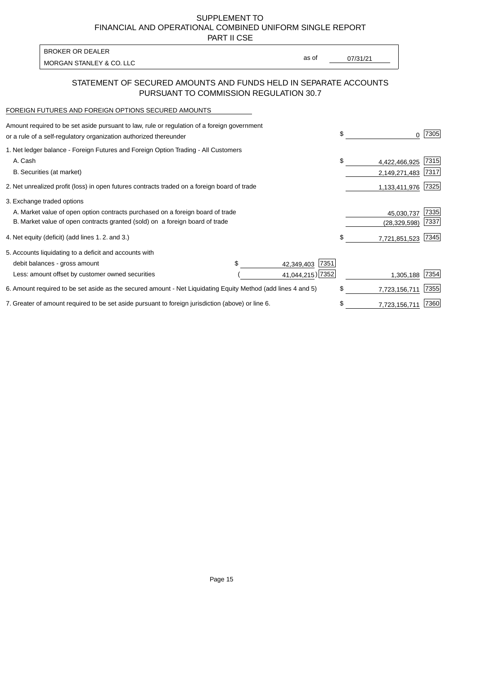PART II CSE

MORGAN STANLEY & CO. LLC and the contract of the contract of the contract of the contract of the contract of the contract of the contract of the contract of the contract of the contract of the contract of the contract of t BROKER OR DEALER

as of

## STATEMENT OF SECURED AMOUNTS AND FUNDS HELD IN SEPARATE ACCOUNTS PURSUANT TO COMMISSION REGULATION 30.7

#### FOREIGN FUTURES AND FOREIGN OPTIONS SECURED AMOUNTS

| Amount required to be set aside pursuant to law, rule or regulation of a foreign government<br>or a rule of a self-regulatory organization authorized thereunder |  |                     | \$<br>0             | 7305 |
|------------------------------------------------------------------------------------------------------------------------------------------------------------------|--|---------------------|---------------------|------|
| 1. Net ledger balance - Foreign Futures and Foreign Option Trading - All Customers                                                                               |  |                     |                     |      |
| A. Cash                                                                                                                                                          |  |                     | \$<br>4,422,466,925 | 7315 |
| B. Securities (at market)                                                                                                                                        |  |                     | 2,149,271,483       | 7317 |
| 2. Net unrealized profit (loss) in open futures contracts traded on a foreign board of trade                                                                     |  |                     | 1,133,411,976       | 7325 |
| 3. Exchange traded options                                                                                                                                       |  |                     |                     |      |
| A. Market value of open option contracts purchased on a foreign board of trade                                                                                   |  | 45,030,737          | 7335                |      |
| B. Market value of open contracts granted (sold) on a foreign board of trade                                                                                     |  |                     | (28, 329, 598)      | 7337 |
| 4. Net equity (deficit) (add lines 1.2. and 3.)                                                                                                                  |  |                     | \$<br>7,721,851,523 | 7345 |
| 5. Accounts liquidating to a deficit and accounts with                                                                                                           |  |                     |                     |      |
| debit balances - gross amount                                                                                                                                    |  | 7351<br>42,349,403  |                     |      |
| Less: amount offset by customer owned securities                                                                                                                 |  | 41,044,215) 7352    | 1,305,188           | 7354 |
| 6. Amount required to be set aside as the secured amount - Net Liquidating Equity Method (add lines 4 and 5)                                                     |  |                     | \$<br>7,723,156,711 | 7355 |
| 7. Greater of amount required to be set aside pursuant to foreign jurisdiction (above) or line 6.                                                                |  | \$<br>7,723,156,711 | 7360                |      |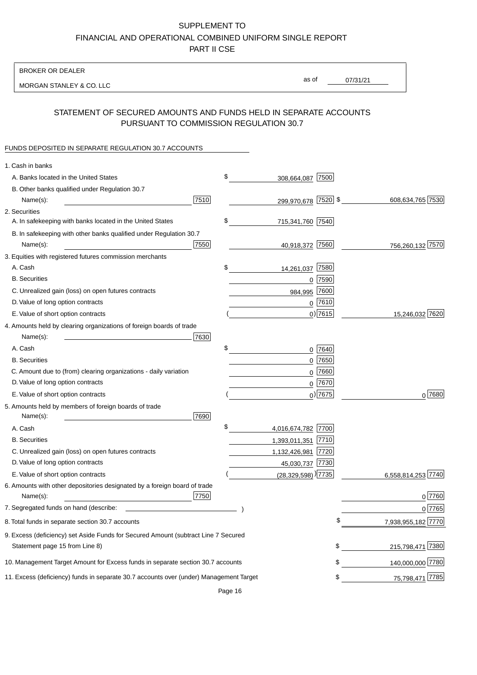BROKER OR DEALER

MORGAN STANLEY & CO. LLC

07/31/21 as of

# STATEMENT OF SECURED AMOUNTS AND FUNDS HELD IN SEPARATE ACCOUNTS PURSUANT TO COMMISSION REGULATION 30.7

### FUNDS DEPOSITED IN SEPARATE REGULATION 30.7 ACCOUNTS

| 1. Cash in banks                                                                       |      |                                    |                          |            |
|----------------------------------------------------------------------------------------|------|------------------------------------|--------------------------|------------|
| A. Banks located in the United States                                                  | \$   | 7500<br>308,664,087                |                          |            |
| B. Other banks qualified under Regulation 30.7                                         |      |                                    |                          |            |
| Name(s):                                                                               | 7510 | 299,970,678 7520 \$                | 608,634,765 7530         |            |
| 2. Securities                                                                          |      |                                    |                          |            |
| A. In safekeeping with banks located in the United States                              | \$   | 715,341,760 7540                   |                          |            |
| B. In safekeeping with other banks qualified under Regulation 30.7                     |      |                                    |                          |            |
| Name(s):                                                                               | 7550 | 40,918,372 7560                    | 756,260,132 7570         |            |
| 3. Equities with registered futures commission merchants                               |      |                                    |                          |            |
| A. Cash                                                                                | \$   | 7580<br>14,261,037                 |                          |            |
| <b>B.</b> Securities                                                                   |      | $0$ 7590                           |                          |            |
| C. Unrealized gain (loss) on open futures contracts                                    |      | 7600<br>984,995                    |                          |            |
| D. Value of long option contracts                                                      |      | $0$ 7610                           |                          |            |
| E. Value of short option contracts                                                     |      | $0)$ 7615                          | 15,246,032 7620          |            |
| 4. Amounts held by clearing organizations of foreign boards of trade                   |      |                                    |                          |            |
| Name(s):                                                                               | 7630 |                                    |                          |            |
| A. Cash                                                                                | \$   | $0$ 7640                           |                          |            |
| <b>B.</b> Securities                                                                   |      | 7650<br>0                          |                          |            |
| C. Amount due to (from) clearing organizations - daily variation                       |      | 7660<br>0                          |                          |            |
| D. Value of long option contracts                                                      |      | 0 7670                             |                          |            |
| E. Value of short option contracts                                                     |      | $0$ ) 7675                         |                          | $0^{7680}$ |
| 5. Amounts held by members of foreign boards of trade                                  |      |                                    |                          |            |
| Name(s):                                                                               | 7690 |                                    |                          |            |
| A. Cash                                                                                | \$   | 4,016,674,782 7700                 |                          |            |
| <b>B.</b> Securities                                                                   |      | 1,393,011,351 7710                 |                          |            |
| C. Unrealized gain (loss) on open futures contracts                                    |      | 1,132,426,981 7720                 |                          |            |
| D. Value of long option contracts                                                      |      | 45,030,737 7730                    |                          |            |
| E. Value of short option contracts                                                     |      | $(28,329,598)$ <sup>)</sup> [7735] | 6,558,814,253 7740       |            |
| 6. Amounts with other depositories designated by a foreign board of trade              |      |                                    |                          |            |
| Name(s):                                                                               | 7750 |                                    |                          | 0 7760     |
| 7. Segregated funds on hand (describe:                                                 |      |                                    |                          | 0 7765     |
| 8. Total funds in separate section 30.7 accounts                                       |      |                                    | 7,938,955,182 7770<br>\$ |            |
| 9. Excess (deficiency) set Aside Funds for Secured Amount (subtract Line 7 Secured     |      |                                    |                          |            |
| Statement page 15 from Line 8)                                                         |      |                                    | 215,798,471 7380<br>\$   |            |
| 10. Management Target Amount for Excess funds in separate section 30.7 accounts        |      |                                    | 140,000,000 7780<br>\$   |            |
| 11. Excess (deficiency) funds in separate 30.7 accounts over (under) Management Target |      |                                    | 75,798,471 7785<br>\$    |            |
|                                                                                        |      |                                    |                          |            |

Page 16